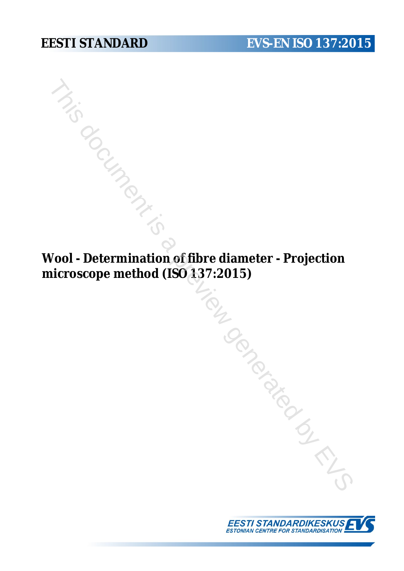**Wool - Determination of fibre diameter - Projection microscope method (ISO 137:2015)** This day of the previous comparable

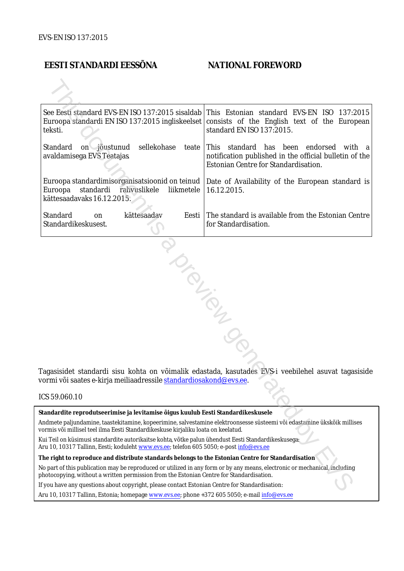### **EESTI STANDARDI EESSÕNA NATIONAL FOREWORD**

| See Eesti standard EVS-EN ISO 137:2015 sisaldab<br>teksti.                                                                                                                                                             | This Estonian standard EVS-EN ISO 137:2015<br>Euroopa standardi EN ISO 137:2015 ingliskeelset consists of the English text of the European<br>standard EN ISO 137:2015. |  |
|------------------------------------------------------------------------------------------------------------------------------------------------------------------------------------------------------------------------|-------------------------------------------------------------------------------------------------------------------------------------------------------------------------|--|
| on jõustunud<br>sellekohase<br>Standard<br>teate<br>avaldamisega EVS Teatajas                                                                                                                                          | This standard has been endorsed<br>with a<br>notification published in the official bulletin of the<br>Estonian Centre for Standardisation.                             |  |
| Euroopa standardimisorganisatsioonid on teinud<br>Euroopa<br>standardi rahvuslikele<br>liikmetele<br>kättesaadavaks 16.12.2015.                                                                                        | Date of Availability of the European standard is<br>16.12.2015.                                                                                                         |  |
| Standard<br>kättesaadav<br>Eesti<br>on<br>Standardikeskusest.                                                                                                                                                          | The standard is available from the Estonian Centre<br>for Standardisation.                                                                                              |  |
| Tagasisidet standardi sisu kohta on võimalik edastada, kasutades EVS-i veebilehel asuvat tagasiside<br>vormi või saates e-kirja meiliaadressile <u>standardiosakond@evs.ee</u> .<br>ICS 59.060.10                      |                                                                                                                                                                         |  |
|                                                                                                                                                                                                                        |                                                                                                                                                                         |  |
| Standardite reprodutseerimise ja levitamise õigus kuulub Eesti Standardikeskusele                                                                                                                                      |                                                                                                                                                                         |  |
| Andmete paljundamine, taastekitamine, kopeerimine, salvestamine elektroonsesse süsteemi või edastamine ükskõik millises<br>vormis või millisel teel ilma Eesti Standardikeskuse kirjaliku loata on keelatud.           |                                                                                                                                                                         |  |
| Kui Teil on küsimusi standardite autorikaitse kohta, võtke palun ühendust Eesti Standardikeskusega:<br>Aru 10, 10317 Tallinn, Eesti; koduleht www.evs.ee; telefon 605 5050; e-post info@evs.ee                         |                                                                                                                                                                         |  |
| The right to reproduce and distribute standards belongs to the Estonian Centre for Standardisation                                                                                                                     |                                                                                                                                                                         |  |
| No part of this publication may be reproduced or utilized in any form or by any means, electronic or mechanical, including<br>photocopying, without a written permission from the Estonian Centre for Standardisation. |                                                                                                                                                                         |  |
| If you have any questions about copyright, please contact Estonian Centre for Standardisation:                                                                                                                         |                                                                                                                                                                         |  |
|                                                                                                                                                                                                                        |                                                                                                                                                                         |  |

#### ICS 59.060.10

Aru 10, 10317 Tallinn, Estonia; homepage [www.evs.ee](http://www.evs.ee/); phone +372 605 5050; e-mail info@evs.ee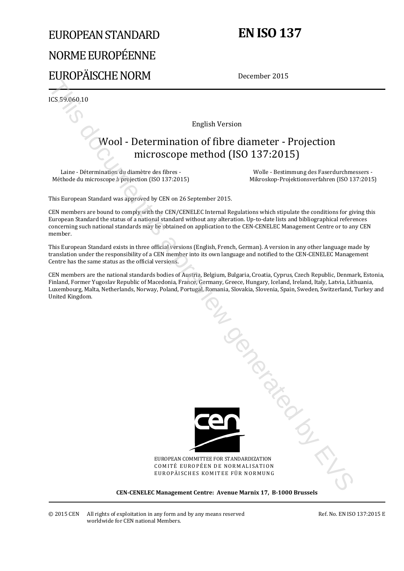# EUROPEAN STANDARD NORME EUROPÉENNE EUROPÄISCHE NORM

# **EN ISO 137**

December 2015

ICS 59.060.10

English Version

# Wool - Determination of fibre diameter - Projection microscope method (ISO 137:2015)

Laine - Détermination du diamètre des fibres - Méthode du microscope à projection (ISO 137:2015)

 Wolle - Bestimmung des Faserdurchmessers - Mikroskop-Projektionsverfahren (ISO 137:2015)

This European Standard was approved by CEN on 26 September 2015.

CEN members are bound to comply with the CEN/CENELEC Internal Regulations which stipulate the conditions for giving this European Standard the status of a national standard without any alteration. Up-to-date lists and bibliographical references concerning such national standards may be obtained on application to the CEN-CENELEC Management Centre or to any CEN member.

This European Standard exists in three official versions (English, French, German). A version in any other language made by translation under the responsibility of a CEN member into its own language and notified to the CEN-CENELEC Management Centre has the same status as the official versions.

CEN members are the national standards bodies of Austria, Belgium, Bulgaria, Croatia, Cyprus, Czech Republic, Denmark, Estonia, Finland, Former Yugoslav Republic of Macedonia, France, Germany, Greece, Hungary, Iceland, Ireland, Italy, Latvia, Lithuania, Luxembourg, Malta, Netherlands, Norway, Poland, Portugal, Romania, Slovakia, Slovenia, Spain, Sweden, Switzerland, Turkey and United Kingdom.



EUROPEAN COMMITTEE FOR STANDARDIZATION COMITÉ EUROPÉEN DE NORMALISATION EUROPÄISCHES KOMITEE FÜR NORMUNG

**CEN-CENELEC Management Centre: Avenue Marnix 17, B-1000 Brussels** 

Ref. No. EN ISO 137:2015 E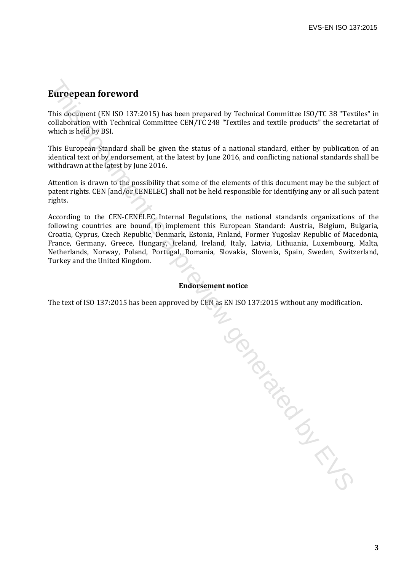## **Euroepean foreword**

This document (EN ISO 137:2015) has been prepared by Technical Committee ISO/TC 38 "Textiles" in collaboration with Technical Committee CEN/TC 248 "Textiles and textile products" the secretariat of which is held by BSI.

This European Standard shall be given the status of a national standard, either by publication of an identical text or by endorsement, at the latest by June 2016, and conflicting national standards shall be withdrawn at the latest by June 2016.

Attention is drawn to the possibility that some of the elements of this document may be the subject of patent rights. CEN [and/or CENELEC] shall not be held responsible for identifying any or all such patent rights.

According to the CEN-CENELEC Internal Regulations, the national standards organizations of the following countries are bound to implement this European Standard: Austria, Belgium, Bulgaria, Croatia, Cyprus, Czech Republic, Denmark, Estonia, Finland, Former Yugoslav Republic of Macedonia, France, Germany, Greece, Hungary, Iceland, Ireland, Italy, Latvia, Lithuania, Luxembourg, Malta, Netherlands, Norway, Poland, Portugal, Romania, Slovakia, Slovenia, Spain, Sweden, Switzerland, Turkey and the United Kingdom.

#### **Endorsement notice**

The text of ISO 137:2015 has been approved by CEN as EN ISO 137:2015 without any modification.

To donomic during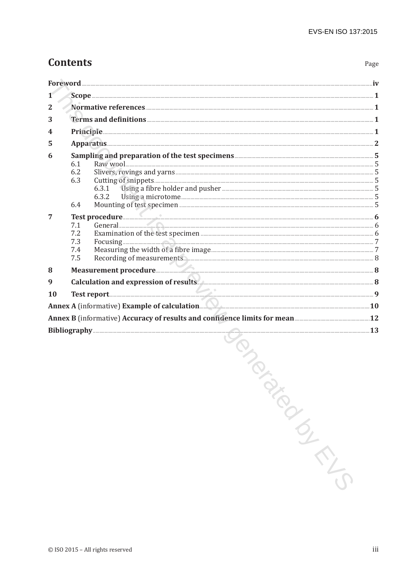Page

# **Contents**

| 2         |                                                                                                                                                                                                                                                                                                                                                                                                                                                    |  |  |
|-----------|----------------------------------------------------------------------------------------------------------------------------------------------------------------------------------------------------------------------------------------------------------------------------------------------------------------------------------------------------------------------------------------------------------------------------------------------------|--|--|
| 3         |                                                                                                                                                                                                                                                                                                                                                                                                                                                    |  |  |
| 4         | Principle 1                                                                                                                                                                                                                                                                                                                                                                                                                                        |  |  |
| 5         |                                                                                                                                                                                                                                                                                                                                                                                                                                                    |  |  |
| 6         | Sampling and preparation of the test specimens <b>Engineeration</b> S<br>6.1<br>6.2<br>6.3<br>6.3.1 Using a fibre holder and pusher <b>Manual Election Contract Contract Contract Contract Contract Contract Contract Contract Contract Contract Contract Contract Contract Contract Contract Contract Contract Contract Contr</b><br>6.3.2<br>6.4                                                                                                 |  |  |
| 7         | Test procedure <b>Executive Construction of the Construction Construction Construction Construction</b> 6<br>General <b>Executive Constitution of the Constitution</b> of the Constitution of the Constitution of the Constitution of the Constitution of the Constitution of the Constitution of the Constitution of the Constitution of the Co<br>7.1<br>7.2<br>7.3<br>7.4<br>Recording of measurements. <b>All any of measurements</b> 3<br>7.5 |  |  |
| 8         |                                                                                                                                                                                                                                                                                                                                                                                                                                                    |  |  |
| 9         | Calculation and expression of results 8                                                                                                                                                                                                                                                                                                                                                                                                            |  |  |
| <b>10</b> |                                                                                                                                                                                                                                                                                                                                                                                                                                                    |  |  |
|           |                                                                                                                                                                                                                                                                                                                                                                                                                                                    |  |  |
|           | Annex B (informative) Accuracy of results and confidence limits for mean <b>manual contract of 2</b>                                                                                                                                                                                                                                                                                                                                               |  |  |
|           | Bibliography 23<br>the contract of the contract of the contract of                                                                                                                                                                                                                                                                                                                                                                                 |  |  |

**CONDUCTION CONDUCTION**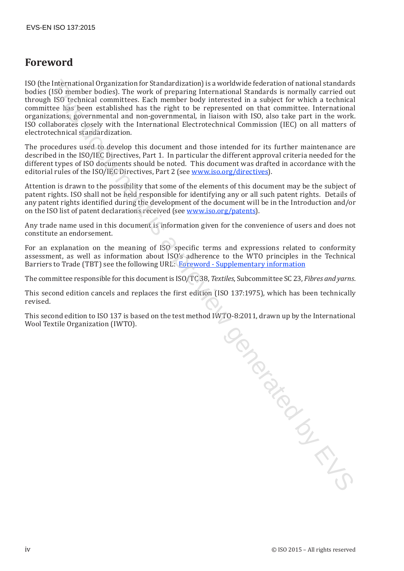## **Foreword**

ISO (the International Organization for Standardization) is a worldwide federation of national standards bodies (ISO member bodies). The work of preparing International Standards is normally carried out through ISO technical committees. Each member body interested in a subject for which a technical committee has been established has the right to be represented on that committee. International organizations, governmental and non-governmental, in liaison with ISO, also take part in the work. ISO collaborates closely with the International Electrotechnical Commission (IEC) on all matters of electrotechnical standardization.

The procedures used to develop this document and those intended for its further maintenance are described in the ISO/IEC Directives, Part 1. In particular the different approval criteria needed for the different types of ISO documents should be noted. This document was drafted in accordance with the editorial rules of the ISO/IEC Directives, Part 2 (see www.iso.org/directives).

Attention is drawn to the possibility that some of the elements of this document may be the subject of patent rights. ISO shall not be held responsible for identifying any or all such patent rights. Details of any patent rights identified during the development of the document will be in the Introduction and/or on the ISO list of patent declarations received (see www.iso.org/patents).

Any trade name used in this document is information given for the convenience of users and does not constitute an endorsement.

For an explanation on the meaning of ISO specific terms and expressions related to conformity assessment, as well as information about ISO's adherence to the WTO principles in the Technical Barriers to Trade (TBT) see the following URL: Foreword - Supplementary information

The committee responsible for this document is ISO/TC 38, *Textiles*, Subcommittee SC 23, *Fibres and yarns*.

This second edition cancels and replaces the first edition (ISO 137:1975), which has been technically revised.

This second edition to ISO 137 is based on the test method IWTO-8:2011, drawn up by the International Wool Textile Organization (IWTO).

Occument is a previous con-